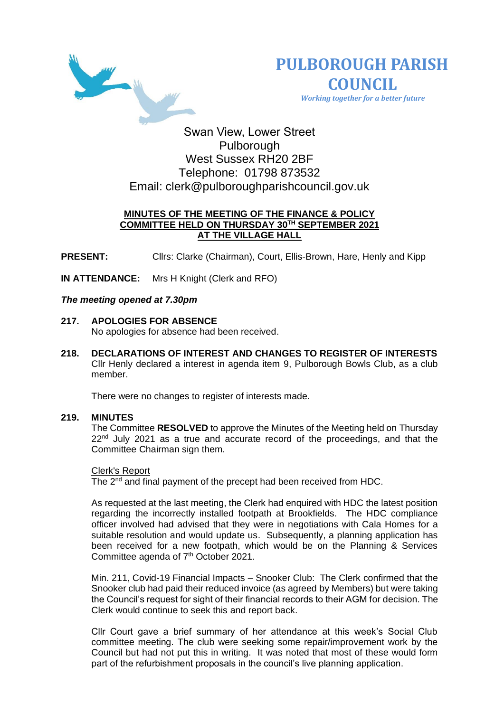



 *Working together for a better future*

# Swan View, Lower Street Pulborough West Sussex RH20 2BF Telephone: 01798 873532 Email: [clerk@pulboroughparishcouncil.gov.uk](mailto:clerk@pulboroughparishcouncil.gov.uk)

# **MINUTES OF THE MEETING OF THE FINANCE & POLICY COMMITTEE HELD ON THURSDAY 30TH SEPTEMBER 2021 AT THE VILLAGE HALL**

**PRESENT:** Cllrs: Clarke (Chairman), Court, Ellis-Brown, Hare, Henly and Kipp

**IN ATTENDANCE:** Mrs H Knight (Clerk and RFO)

## *The meeting opened at 7.30pm*

- **217. APOLOGIES FOR ABSENCE**  No apologies for absence had been received.
- **218. DECLARATIONS OF INTEREST AND CHANGES TO REGISTER OF INTERESTS** Cllr Henly declared a interest in agenda item 9, Pulborough Bowls Club, as a club member.

There were no changes to register of interests made.

# **219. MINUTES**

The Committee **RESOLVED** to approve the Minutes of the Meeting held on Thursday  $22<sup>nd</sup>$  July 2021 as a true and accurate record of the proceedings, and that the Committee Chairman sign them.

# Clerk's Report

The 2<sup>nd</sup> and final payment of the precept had been received from HDC.

As requested at the last meeting, the Clerk had enquired with HDC the latest position regarding the incorrectly installed footpath at Brookfields. The HDC compliance officer involved had advised that they were in negotiations with Cala Homes for a suitable resolution and would update us. Subsequently, a planning application has been received for a new footpath, which would be on the Planning & Services Committee agenda of 7<sup>th</sup> October 2021.

Min. 211, Covid-19 Financial Impacts – Snooker Club: The Clerk confirmed that the Snooker club had paid their reduced invoice (as agreed by Members) but were taking the Council's request for sight of their financial records to their AGM for decision. The Clerk would continue to seek this and report back.

Cllr Court gave a brief summary of her attendance at this week's Social Club committee meeting. The club were seeking some repair/improvement work by the Council but had not put this in writing. It was noted that most of these would form part of the refurbishment proposals in the council's live planning application.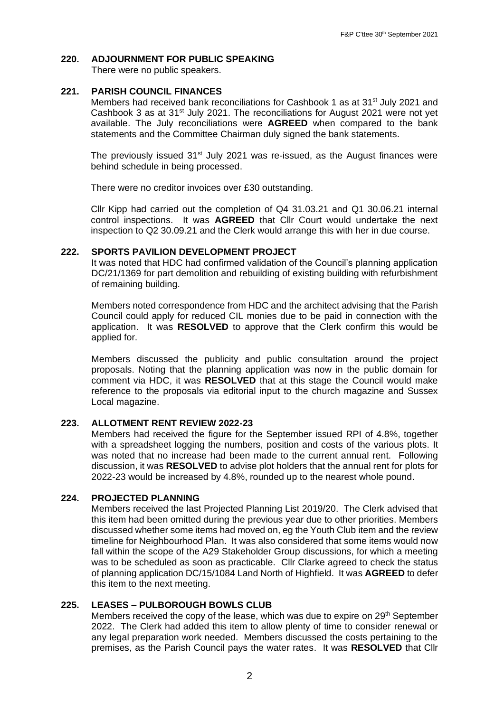## **220. ADJOURNMENT FOR PUBLIC SPEAKING**

There were no public speakers.

# **221. PARISH COUNCIL FINANCES**

Members had received bank reconciliations for Cashbook 1 as at 31<sup>st</sup> July 2021 and Cashbook 3 as at 31<sup>st</sup> July 2021. The reconciliations for August 2021 were not yet available. The July reconciliations were **AGREED** when compared to the bank statements and the Committee Chairman duly signed the bank statements.

The previously issued  $31<sup>st</sup>$  July 2021 was re-issued, as the August finances were behind schedule in being processed.

There were no creditor invoices over £30 outstanding.

Cllr Kipp had carried out the completion of Q4 31.03.21 and Q1 30.06.21 internal control inspections. It was **AGREED** that Cllr Court would undertake the next inspection to Q2 30.09.21 and the Clerk would arrange this with her in due course.

## **222. SPORTS PAVILION DEVELOPMENT PROJECT**

It was noted that HDC had confirmed validation of the Council's planning application DC/21/1369 for part demolition and rebuilding of existing building with refurbishment of remaining building.

Members noted correspondence from HDC and the architect advising that the Parish Council could apply for reduced CIL monies due to be paid in connection with the application. It was **RESOLVED** to approve that the Clerk confirm this would be applied for.

Members discussed the publicity and public consultation around the project proposals. Noting that the planning application was now in the public domain for comment via HDC, it was **RESOLVED** that at this stage the Council would make reference to the proposals via editorial input to the church magazine and Sussex Local magazine.

# **223. ALLOTMENT RENT REVIEW 2022-23**

Members had received the figure for the September issued RPI of 4.8%, together with a spreadsheet logging the numbers, position and costs of the various plots. It was noted that no increase had been made to the current annual rent. Following discussion, it was **RESOLVED** to advise plot holders that the annual rent for plots for 2022-23 would be increased by 4.8%, rounded up to the nearest whole pound.

## **224. PROJECTED PLANNING**

Members received the last Projected Planning List 2019/20. The Clerk advised that this item had been omitted during the previous year due to other priorities. Members discussed whether some items had moved on, eg the Youth Club item and the review timeline for Neighbourhood Plan. It was also considered that some items would now fall within the scope of the A29 Stakeholder Group discussions, for which a meeting was to be scheduled as soon as practicable. Cllr Clarke agreed to check the status of planning application DC/15/1084 Land North of Highfield. It was **AGREED** to defer this item to the next meeting.

# **225. LEASES – PULBOROUGH BOWLS CLUB**

Members received the copy of the lease, which was due to expire on 29<sup>th</sup> September 2022. The Clerk had added this item to allow plenty of time to consider renewal or any legal preparation work needed. Members discussed the costs pertaining to the premises, as the Parish Council pays the water rates. It was **RESOLVED** that Cllr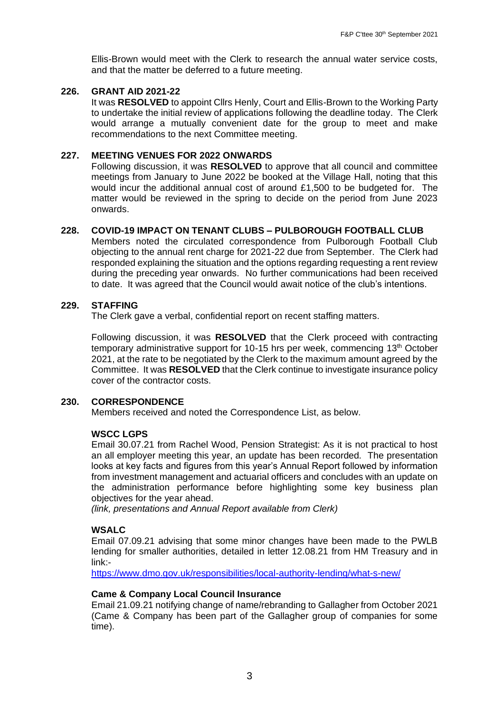Ellis-Brown would meet with the Clerk to research the annual water service costs, and that the matter be deferred to a future meeting.

## **226. GRANT AID 2021-22**

It was **RESOLVED** to appoint Cllrs Henly, Court and Ellis-Brown to the Working Party to undertake the initial review of applications following the deadline today. The Clerk would arrange a mutually convenient date for the group to meet and make recommendations to the next Committee meeting.

## **227. MEETING VENUES FOR 2022 ONWARDS**

Following discussion, it was **RESOLVED** to approve that all council and committee meetings from January to June 2022 be booked at the Village Hall, noting that this would incur the additional annual cost of around £1,500 to be budgeted for. The matter would be reviewed in the spring to decide on the period from June 2023 onwards.

#### **228. COVID-19 IMPACT ON TENANT CLUBS – PULBOROUGH FOOTBALL CLUB**

Members noted the circulated correspondence from Pulborough Football Club objecting to the annual rent charge for 2021-22 due from September. The Clerk had responded explaining the situation and the options regarding requesting a rent review during the preceding year onwards. No further communications had been received to date. It was agreed that the Council would await notice of the club's intentions.

#### **229. STAFFING**

The Clerk gave a verbal, confidential report on recent staffing matters.

Following discussion, it was **RESOLVED** that the Clerk proceed with contracting temporary administrative support for 10-15 hrs per week, commencing 13<sup>th</sup> October 2021, at the rate to be negotiated by the Clerk to the maximum amount agreed by the Committee. It was **RESOLVED** that the Clerk continue to investigate insurance policy cover of the contractor costs.

#### **230. CORRESPONDENCE**

Members received and noted the Correspondence List, as below.

## **WSCC LGPS**

Email 30.07.21 from Rachel Wood, Pension Strategist: As it is not practical to host an all employer meeting this year, an update has been recorded*.* The presentation looks at key facts and figures from this year's Annual Report followed by information from investment management and actuarial officers and concludes with an update on the administration performance before highlighting some key business plan objectives for the year ahead.

*(link, presentations and Annual Report available from Clerk)*

## **WSALC**

Email 07.09.21 advising that some minor changes have been made to the PWLB lending for smaller authorities, detailed in letter 12.08.21 from HM Treasury and in link:-

<https://www.dmo.gov.uk/responsibilities/local-authority-lending/what-s-new/>

#### **Came & Company Local Council Insurance**

Email 21.09.21 notifying change of name/rebranding to Gallagher from October 2021 (Came & Company has been part of the Gallagher group of companies for some time).